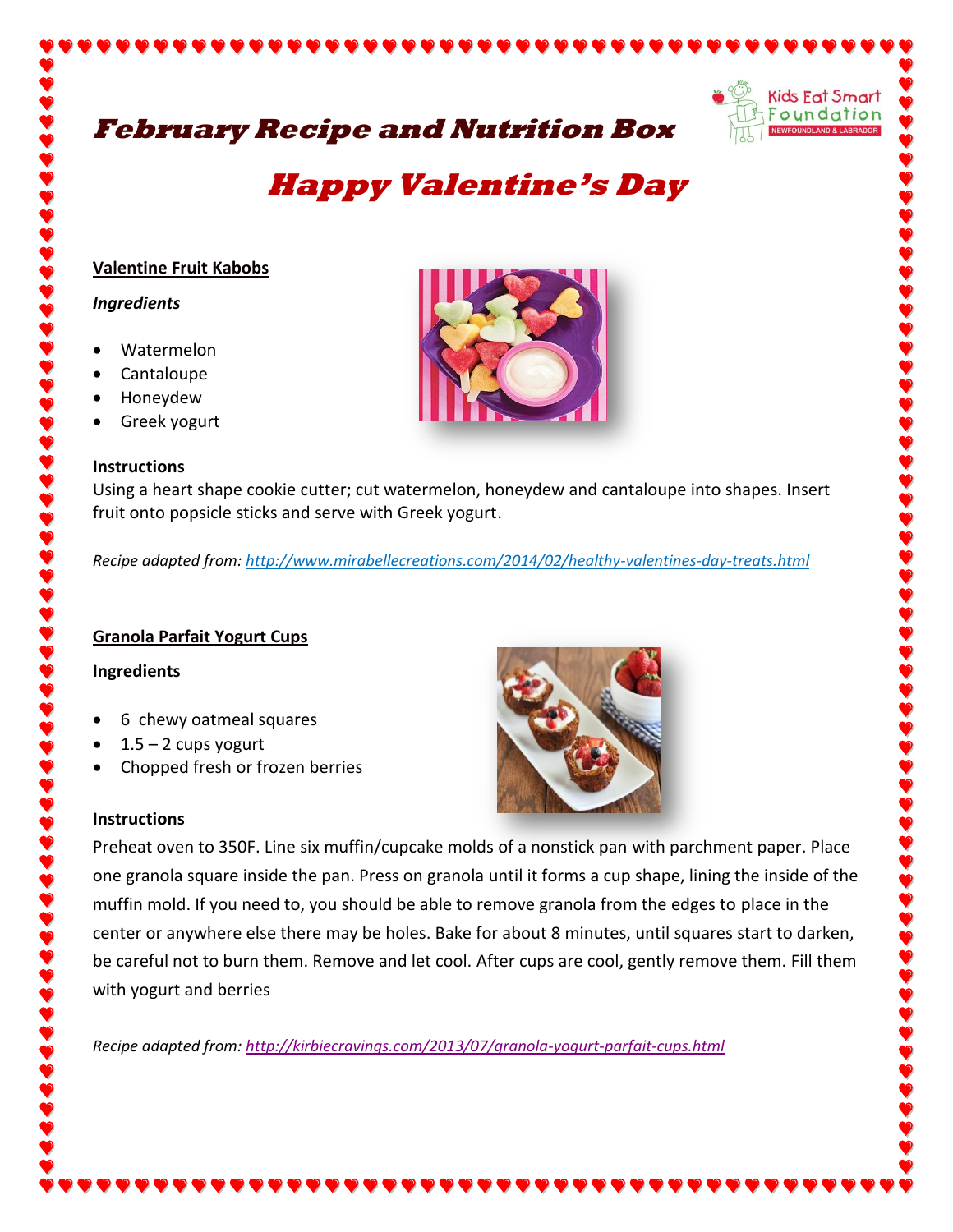# **February Recipe and Nutrition Box**



# **Happy Valentine's Day**

#### **Valentine Fruit Kabobs**

#### *Ingredients*

- Watermelon
- Cantaloupe
- Honeydew
- Greek yogurt

#### **Instructions**

Using a heart shape cookie cutter; cut watermelon, honeydew and cantaloupe into shapes. Insert fruit onto popsicle sticks and serve with Greek yogurt.

*Recipe adapted from: http://www.mirabellecreations.com/2014/02/healthy-valentines-day-treats.html*

# **Granola Parfait Yogurt Cups**

#### **Ingredients**

- 6 chewy oatmeal squares
- $1.5 2$  cups yogurt
- Chopped fresh or frozen berries

#### **Instructions**



Preheat oven to 350F. Line six muffin/cupcake molds of a nonstick pan with parchment paper. Place one granola square inside the pan. Press on granola until it forms a cup shape, lining the inside of the muffin mold. If you need to, you should be able to remove granola from the edges to place in the center or anywhere else there may be holes. Bake for about 8 minutes, until squares start to darken, be careful not to burn them. Remove and let cool. After cups are cool, gently remove them. Fill them with yogurt and berries

*Recipe adapted from:<http://kirbiecravings.com/2013/07/granola-yogurt-parfait-cups.html>*